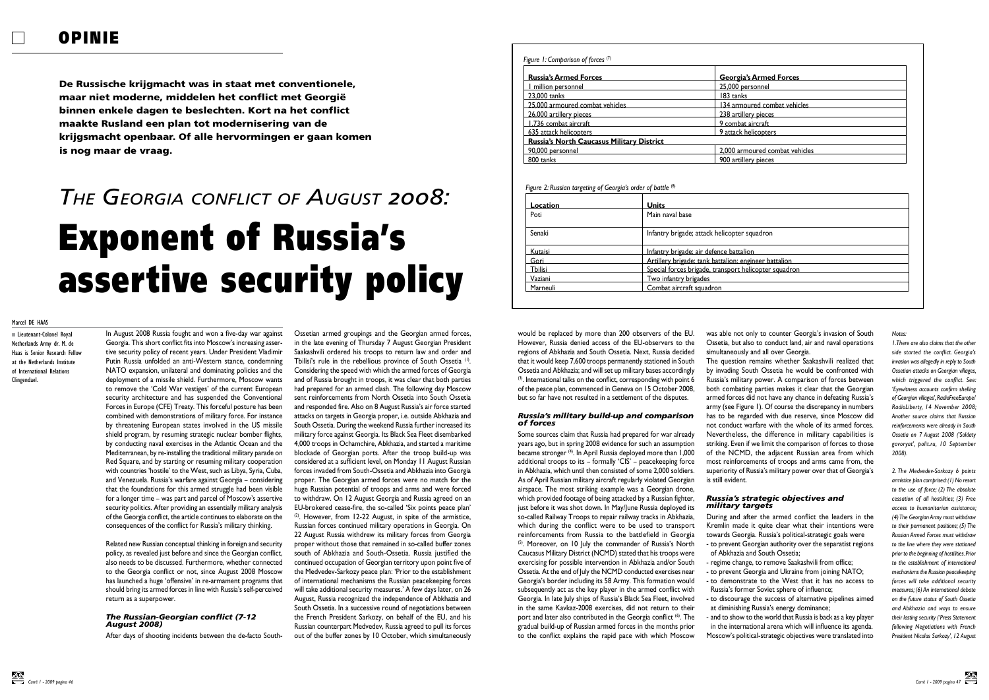In August 2008 Russia fought and won a five-day war against

Georgia. This short conflict fits into Moscow's increasing assertive security policy of recent years. Under President Vladimir Putin Russia unfolded an anti-Western stance, condemning NATO expansion, unilateral and dominating policies and the deployment of a missile shield. Furthermore, Moscow wants to remove the 'Cold War vestiges' of the current European security architecture and has suspended the Conventional Forces in Europe (CFE) Treaty. This forceful posture has been combined with demonstrations of military force. For instance by threatening European states involved in the US missile shield program, by resuming strategic nuclear bomber flights, by conducting naval exercises in the Atlantic Ocean and the Mediterranean, by re-installing the traditional military parade on Red Square, and by starting or resuming military cooperation with countries 'hostile' to the West, such as Libya, Syria, Cuba, and Venezuela. Russia's warfare against Georgia – considering that the foundations for this armed struggle had been visible for a longer time – was part and parcel of Moscow's assertive security politics. After providing an essentially military analysis of the Georgia conflict, the article continues to elaborate on the

consequences of the conflict for Russia's military thinking.

Related new Russian conceptual thinking in foreign and security policy, as revealed just before and since the Georgian conflict, also needs to be discussed. Furthermore, whether connected to the Georgia conflict or not, since August 2008 Moscow has launched a huge 'offensive' in re-armament programs that should bring its armed forces in line with Russia's self-perceived return as a superpower.

#### *The Russian-Georgian conflict (7-12 August 2008)*

After days of shooting incidents between the de-facto South-

Ossetian armed groupings and the Georgian armed forces, in the late evening of Thursday 7 August Georgian President Saakashvili ordered his troops to return law and order and Tbilisi's rule in the rebellious province of South Ossetia<sup>(1)</sup>. Considering the speed with which the armed forces of Georgia and of Russia brought in troops, it was clear that both parties had prepared for an armed clash. The following day Moscow sent reinforcements from North Ossetia into South Ossetia and responded fire. Also on 8 August Russia's air force started attacks on targets in Georgia proper, i.e. outside Abkhazia and South Ossetia. During the weekend Russia further increased its military force against Georgia. Its Black Sea Fleet disembarked 4,000 troops in Ochamchire, Abkhazia, and started a maritime blockade of Georgian ports. After the troop build-up was considered at a sufficient level, on Monday 11 August Russian forces invaded from South-Ossetia and Abkhazia into Georgia proper. The Georgian armed forces were no match for the huge Russian potential of troops and arms and were forced to withdraw. On 12 August Georgia and Russia agreed on an EU-brokered cease-fire, the so-called 'Six points peace plan'  $(2)$ . However, from 12-22 August, in spite of the armistice, Russian forces continued military operations in Georgia. On 22 August Russia withdrew its military forces from Georgia proper without those that remained in so-called buffer zones south of Abkhazia and South-Ossetia. Russia justified the continued occupation of Georgian territory upon point five of the Medvedev-Sarkozy peace plan: 'Prior to the establishment of international mechanisms the Russian peacekeeping forces will take additional security measures.' A few days later, on 26 August, Russia recognized the independence of Abkhazia and South Ossetia. In a successive round of negotiations between the French President Sarkozy, on behalf of the EU, and his Russian counterpart Medvedev, Russia agreed to pull its forces out of the buffer zones by 10 October, which simultaneously

was able not only to counter Georgia's invasion of South Ossetia, but also to conduct land, air and naval operations simultaneously and all over Georgia. The question remains whether Saakashvili realized that by invading South Ossetia he would be confronted with Russia's military power. A comparison of forces between both combating parties makes it clear that the Georgian armed forces did not have any chance in defeating Russia's army (see Figure 1). Of course the discrepancy in numbers has to be regarded with due reserve, since Moscow did not conduct warfare with the whole of its armed forces. Nevertheless, the difference in military capabilities is striking. Even if we limit the comparison of forces to those of the NCMD, the adjacent Russian area from which most reinforcements of troops and arms came from, the superiority of Russia's military power over that of Georgia's is still evident.

# *Russia's strategic objectives and military targets*

- 
- 
- 
- 
- 
- 
- 
- 
- 

During and after the armed conflict the leaders in the Kremlin made it quite clear what their intentions were towards Georgia. Russia's political-strategic goals were - to prevent Georgian authority over the separatist regions of Abkhazia and South Ossetia;

- regime change, to remove Saakashvili from office;

- to prevent Georgia and Ukraine from joining NATO; - to demonstrate to the West that it has no access to

Russia's former Soviet sphere of influence;

- to discourage the success of alternative pipelines aimed at diminishing Russia's energy dominance;

- and to show to the world that Russia is back as a key player in the international arena which will influence its agenda. Moscow's political-strategic objectives were translated into

# would be replaced by more than 200 observers of the EU. However, Russia denied access of the EU-observers to the regions of Abkhazia and South Ossetia. Next, Russia decided that it would keep 7,600 troops permanently stationed in South Ossetia and Abkhazia; and will set up military bases accordingly  $(3)$ . International talks on the conflict, corresponding with point 6 of the peace plan, commenced in Geneva on 15 October 2008, but so far have not resulted in a settlement of the disputes.

#### *Russia's military build-up and comparison of forces*

Some sources claim that Russia had prepared for war already years ago, but in spring 2008 evidence for such an assumption became stronger (4). In April Russia deployed more than 1,000 additional troops to its – formally 'CIS' – peacekeeping force in Abkhazia, which until then consisted of some 2,000 soldiers. As of April Russian military aircraft regularly violated Georgian airspace. The most striking example was a Georgian drone, which provided footage of being attacked by a Russian fighter, just before it was shot down. In May/June Russia deployed its so-called Railway Troops to repair railway tracks in Abkhazia, which during the conflict were to be used to transport reinforcements from Russia to the battlefield in Georgia (5). Moreover, on 10 July the commander of Russia's North Caucasus Military District (NCMD) stated that his troops were exercising for possible intervention in Abkhazia and/or South Ossetia. At the end of July the NCMD conducted exercises near Georgia's border including its 58 Army. This formation would subsequently act as the key player in the armed conflict with Georgia. In late July ships of Russia's Black Sea Fleet, involved in the same Kavkaz-2008 exercises, did not return to their port and later also contributed in the Georgia conflict <sup>(6)</sup>. The gradual build-up of Russian armed forces in the months prior to the conflict explains the rapid pace with which Moscow

De Russische krijgmacht was in staat met conventionele, maar niet moderne, middelen het conflict met Georgië binnen enkele dagen te beslechten. Kort na het conflict maakte Rusland een plan tot modernisering van de krijgsmacht openbaar. Of alle hervormingen er gaan komen is nog maar de vraag.

# Exponent of Russia's assertive security policy *The Georgia conflict of August 2008:*

# *Figure 1: Comparison of forces* <sup>(7)</sup>

Lieutenant-Colonel Royal Netherlands Army dr. M. de Haas is Senior Research Fellow at the Netherlands Institute of International Relations

Clingendael.

| s Armed Forces                                                                                                                                                                                                                      |  |
|-------------------------------------------------------------------------------------------------------------------------------------------------------------------------------------------------------------------------------------|--|
| <u>ersonnel</u>                                                                                                                                                                                                                     |  |
|                                                                                                                                                                                                                                     |  |
| oured combat vehicles                                                                                                                                                                                                               |  |
|                                                                                                                                                                                                                                     |  |
| aircraft                                                                                                                                                                                                                            |  |
| <u>dicopters and a set of the set of the set of the set of the set of the set of the set of the set of the set o</u>                                                                                                                |  |
|                                                                                                                                                                                                                                     |  |
| noured combat vehicles                                                                                                                                                                                                              |  |
| ery pieces <b>contracts</b> and the contract of the contract of the contract of the contract of the contract of the contract of the contract of the contract of the contract of the contract of the contract of the contract of the |  |
|                                                                                                                                                                                                                                     |  |
|                                                                                                                                                                                                                                     |  |
|                                                                                                                                                                                                                                     |  |
|                                                                                                                                                                                                                                     |  |
|                                                                                                                                                                                                                                     |  |
|                                                                                                                                                                                                                                     |  |
|                                                                                                                                                                                                                                     |  |
| squadron                                                                                                                                                                                                                            |  |
|                                                                                                                                                                                                                                     |  |
| on<br>the control of the control of the control of                                                                                                                                                                                  |  |
| gineer battalion and a state of the state of the state of the state of the state of the state of the state of                                                                                                                       |  |
| elicopter squadron                                                                                                                                                                                                                  |  |
|                                                                                                                                                                                                                                     |  |
|                                                                                                                                                                                                                                     |  |
|                                                                                                                                                                                                                                     |  |

Marcel DE HAAS

|                                           | <b>Russia's Armed Forces</b>    | <b>Georgia's Armed Forces</b>  |
|-------------------------------------------|---------------------------------|--------------------------------|
|                                           | million personnel               | 25,000 personnel               |
|                                           | 23,000 tanks                    | 183 tanks                      |
|                                           | 25,000 armoured combat vehicles | 134 armoured combat vehicles   |
|                                           | 26,000 artillery pieces         | 238 artillery pieces           |
|                                           | 1,736 combat aircraft           | 9 combat aircraft              |
|                                           | 635 attack helicopters          | 9 attack helicopters           |
| Russia's North Caucasus Military District |                                 |                                |
|                                           | 90,000 personnel                | 2,000 armoured combat vehicles |
|                                           | 800 tanks                       | 900 artillery pieces           |

# *Figure 2: Russian targeting of Georgia's order of battle* <sup>(8)</sup>

| Location | <b>Units</b>                                          |
|----------|-------------------------------------------------------|
| Poti     | Main naval base                                       |
| Senaki   | Infantry brigade; attack helicopter squadron          |
| Kutaisi  | Infantry brigade; air defence battalion               |
| Gori     | Artillery brigade; tank battalion; engineer battalion |
| Tbilisi  | Special forces brigade, transport helicopter squadron |
| Vaziani  | Two infantry brigades                                 |
| Marneuli | Combat aircraft squadron                              |
|          |                                                       |

#### *Notes:*

*1. There are also claims that the other side started the conflict. Georgia's invasion was allegedly in reply to South Ossetian attacks on Georgian villages, which triggered the conflict. See: 'Eyewitness accounts confirm shelling of Georgian villages', RadioFreeEurope/ RadioLiberty, 14 November 2008; Another source claims that Russian reinforcements were already in South Ossetia on 7 August 2008 ('Soldaty govoryat', polit.ru, 10 September 2008).*

*2. The Medvedev-Sarkozy 6 points armistice plan comprised: (1) No resort to the use of force; (2) The absolute cessation of all hostilities; (3) Free access to humanitarian assistance; (4) The Georgian Army must withdraw to their permanent positions; (5) The Russian Armed Forces must withdraw to the line where they were stationed prior to the beginning of hostilities. Prior to the establishment of international mechanisms the Russian peacekeeping forces will take additional security measures; (6) An international debate on the future status of South Ossetia and Abkhazia and ways to ensure their lasting security ('Press Statement following Negotiations with French President Nicolas Sarkozy', 12 August*